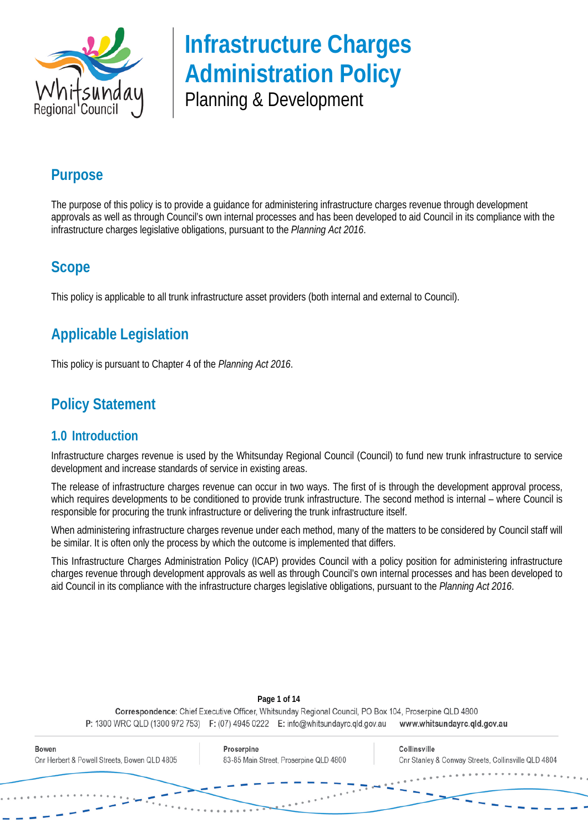

### **Purpose**

The purpose of this policy is to provide a guidance for administering infrastructure charges revenue through development approvals as well as through Council's own internal processes and has been developed to aid Council in its compliance with the infrastructure charges legislative obligations, pursuant to the *Planning Act 2016*.

### **Scope**

This policy is applicable to all trunk infrastructure asset providers (both internal and external to Council).

### **Applicable Legislation**

This policy is pursuant to Chapter 4 of the *Planning Act 2016*.

### **Policy Statement**

### **1.0 Introduction**

Infrastructure charges revenue is used by the Whitsunday Regional Council (Council) to fund new trunk infrastructure to service development and increase standards of service in existing areas.

The release of infrastructure charges revenue can occur in two ways. The first of is through the development approval process, which requires developments to be conditioned to provide trunk infrastructure. The second method is internal – where Council is responsible for procuring the trunk infrastructure or delivering the trunk infrastructure itself.

When administering infrastructure charges revenue under each method, many of the matters to be considered by Council staff will be similar. It is often only the process by which the outcome is implemented that differs.

This Infrastructure Charges Administration Policy (ICAP) provides Council with a policy position for administering infrastructure charges revenue through development approvals as well as through Council's own internal processes and has been developed to aid Council in its compliance with the infrastructure charges legislative obligations, pursuant to the *Planning Act 2016*.

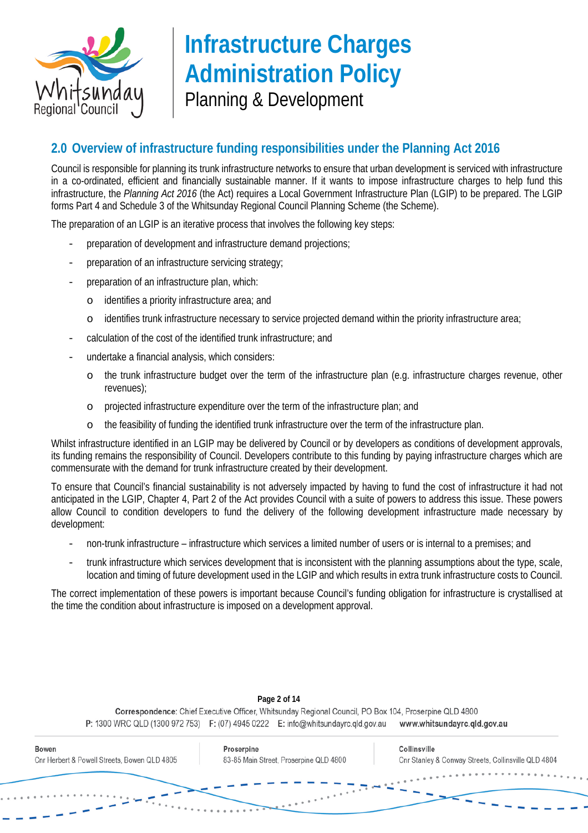

### **2.0 Overview of infrastructure funding responsibilities under the Planning Act 2016**

Council is responsible for planning its trunk infrastructure networks to ensure that urban development is serviced with infrastructure in a co-ordinated, efficient and financially sustainable manner. If it wants to impose infrastructure charges to help fund this infrastructure, the *Planning Act 2016* (the Act) requires a Local Government Infrastructure Plan (LGIP) to be prepared. The LGIP forms Part 4 and Schedule 3 of the Whitsunday Regional Council Planning Scheme (the Scheme).

The preparation of an LGIP is an iterative process that involves the following key steps:

- preparation of development and infrastructure demand projections;
- preparation of an infrastructure servicing strategy;
- preparation of an infrastructure plan, which:
	- o identifies a priority infrastructure area; and
	- o identifies trunk infrastructure necessary to service projected demand within the priority infrastructure area;
- calculation of the cost of the identified trunk infrastructure; and
- undertake a financial analysis, which considers:
	- o the trunk infrastructure budget over the term of the infrastructure plan (e.g. infrastructure charges revenue, other revenues);
	- o projected infrastructure expenditure over the term of the infrastructure plan; and
	- o the feasibility of funding the identified trunk infrastructure over the term of the infrastructure plan.

Whilst infrastructure identified in an LGIP may be delivered by Council or by developers as conditions of development approvals, its funding remains the responsibility of Council. Developers contribute to this funding by paying infrastructure charges which are commensurate with the demand for trunk infrastructure created by their development.

To ensure that Council's financial sustainability is not adversely impacted by having to fund the cost of infrastructure it had not anticipated in the LGIP, Chapter 4, Part 2 of the Act provides Council with a suite of powers to address this issue. These powers allow Council to condition developers to fund the delivery of the following development infrastructure made necessary by development:

- non-trunk infrastructure infrastructure which services a limited number of users or is internal to a premises; and
- trunk infrastructure which services development that is inconsistent with the planning assumptions about the type, scale, location and timing of future development used in the LGIP and which results in extra trunk infrastructure costs to Council.

The correct implementation of these powers is important because Council's funding obligation for infrastructure is crystallised at the time the condition about infrastructure is imposed on a development approval.

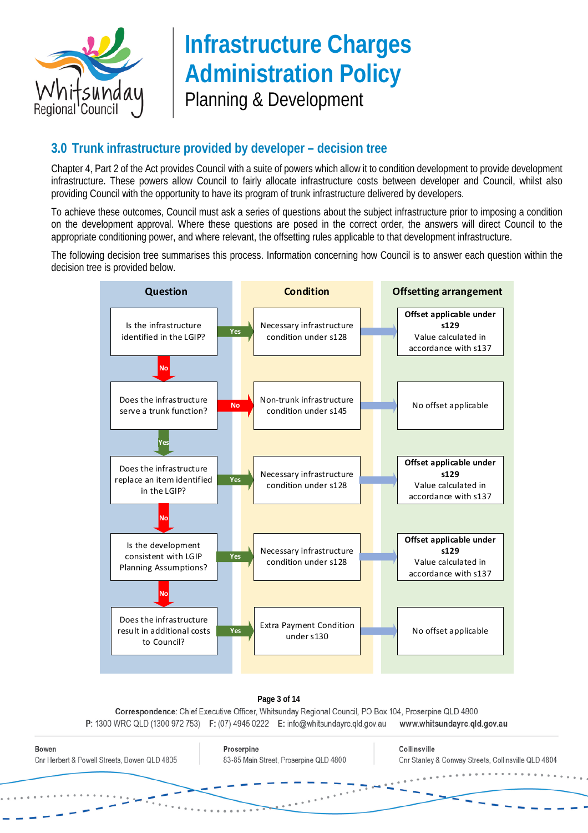

### <span id="page-2-0"></span>**3.0 Trunk infrastructure provided by developer – decision tree**

Chapter 4, Part 2 of the Act provides Council with a suite of powers which allow it to condition development to provide development infrastructure. These powers allow Council to fairly allocate infrastructure costs between developer and Council, whilst also providing Council with the opportunity to have its program of trunk infrastructure delivered by developers.

To achieve these outcomes, Council must ask a series of questions about the subject infrastructure prior to imposing a condition on the development approval. Where these questions are posed in the correct order, the answers will direct Council to the appropriate conditioning power, and where relevant, the offsetting rules applicable to that development infrastructure.

The following decision tree summarises this process. Information concerning how Council is to answer each question within the decision tree is provided below.



#### **Page 3 of 14**

Correspondence: Chief Executive Officer, Whitsunday Regional Council, PO Box 104, Proserpine QLD 4800 P: 1300 WRC QLD (1300 972 753) F: (07) 4945 0222 E: info@whitsundayrc.gld.gov.au www.whitsundayrc.qld.gov.au

**Bowen** Cnr Herbert & Powell Streets, Bowen QLD 4805

Proserpine 83-85 Main Street, Proserpine QLD 4800 Collinsville Cnr Stanley & Conway Streets, Collinsville QLD 4804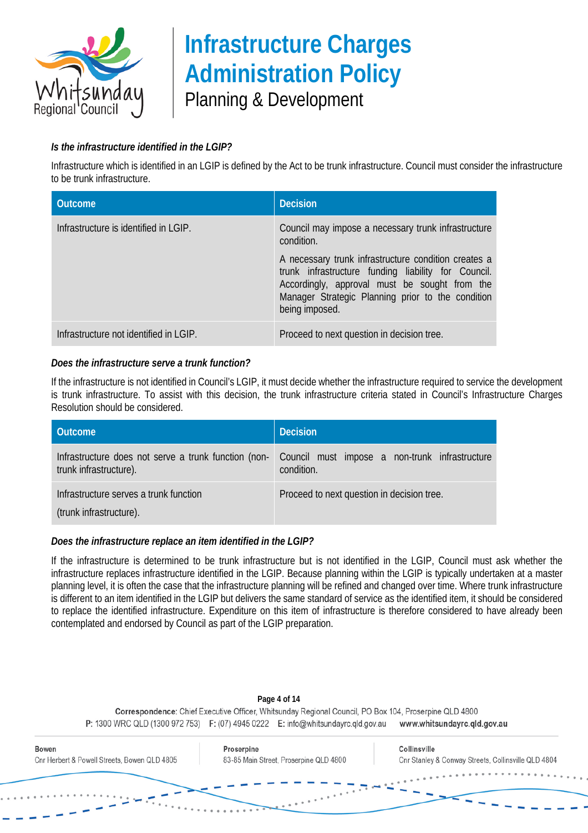

### *Is the infrastructure identified in the LGIP?*

Infrastructure which is identified in an LGIP is defined by the Act to be trunk infrastructure. Council must consider the infrastructure to be trunk infrastructure.

| <b>Outcome</b>                         | <b>Decision</b>                                                                                                                                                                                                                     |
|----------------------------------------|-------------------------------------------------------------------------------------------------------------------------------------------------------------------------------------------------------------------------------------|
| Infrastructure is identified in LGIP.  | Council may impose a necessary trunk infrastructure<br>condition.                                                                                                                                                                   |
|                                        | A necessary trunk infrastructure condition creates a<br>trunk infrastructure funding liability for Council.<br>Accordingly, approval must be sought from the<br>Manager Strategic Planning prior to the condition<br>being imposed. |
| Infrastructure not identified in LGIP. | Proceed to next question in decision tree.                                                                                                                                                                                          |

### *Does the infrastructure serve a trunk function?*

If the infrastructure is not identified in Council's LGIP, it must decide whether the infrastructure required to service the development is trunk infrastructure. To assist with this decision, the trunk infrastructure criteria stated in Council's Infrastructure Charges Resolution should be considered.

| <b>Outcome</b>                                                                 | <b>Decision</b>                                              |
|--------------------------------------------------------------------------------|--------------------------------------------------------------|
| Infrastructure does not serve a trunk function (non-<br>trunk infrastructure). | Council must impose a non-trunk infrastructure<br>condition. |
| Infrastructure serves a trunk function<br>(trunk infrastructure).              | Proceed to next question in decision tree.                   |

### *Does the infrastructure replace an item identified in the LGIP?*

If the infrastructure is determined to be trunk infrastructure but is not identified in the LGIP, Council must ask whether the infrastructure replaces infrastructure identified in the LGIP. Because planning within the LGIP is typically undertaken at a master planning level, it is often the case that the infrastructure planning will be refined and changed over time. Where trunk infrastructure is different to an item identified in the LGIP but delivers the same standard of service as the identified item, it should be considered to replace the identified infrastructure. Expenditure on this item of infrastructure is therefore considered to have already been contemplated and endorsed by Council as part of the LGIP preparation.

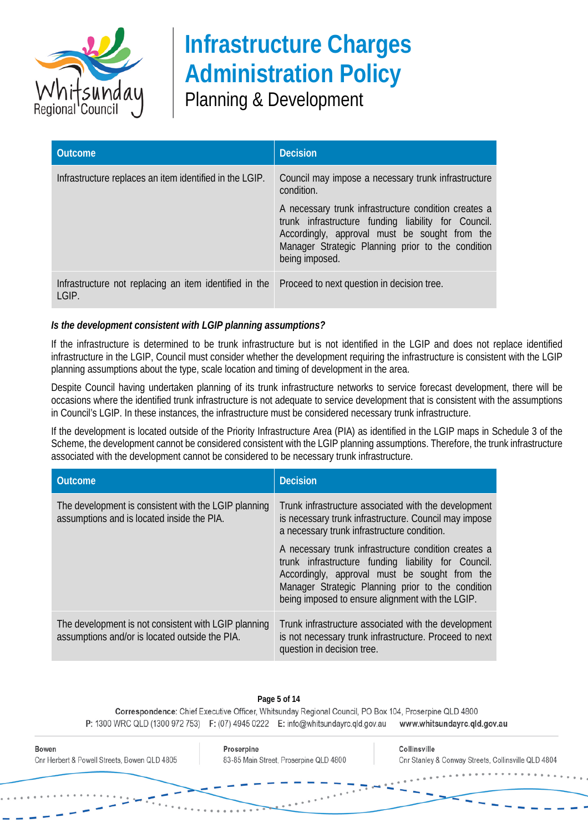

# **Infrastructure Charges Administration Policy**

Planning & Development

| <b>Outcome</b>                                                  | <b>Decision</b>                                                                                                                                                                                                                     |
|-----------------------------------------------------------------|-------------------------------------------------------------------------------------------------------------------------------------------------------------------------------------------------------------------------------------|
| Infrastructure replaces an item identified in the LGIP.         | Council may impose a necessary trunk infrastructure<br>condition.                                                                                                                                                                   |
|                                                                 | A necessary trunk infrastructure condition creates a<br>trunk infrastructure funding liability for Council.<br>Accordingly, approval must be sought from the<br>Manager Strategic Planning prior to the condition<br>being imposed. |
| Infrastructure not replacing an item identified in the<br>LGIP. | Proceed to next question in decision tree.                                                                                                                                                                                          |

### *Is the development consistent with LGIP planning assumptions?*

If the infrastructure is determined to be trunk infrastructure but is not identified in the LGIP and does not replace identified infrastructure in the LGIP, Council must consider whether the development requiring the infrastructure is consistent with the LGIP planning assumptions about the type, scale location and timing of development in the area.

Despite Council having undertaken planning of its trunk infrastructure networks to service forecast development, there will be occasions where the identified trunk infrastructure is not adequate to service development that is consistent with the assumptions in Council's LGIP. In these instances, the infrastructure must be considered necessary trunk infrastructure.

If the development is located outside of the Priority Infrastructure Area (PIA) as identified in the LGIP maps in Schedule 3 of the Scheme, the development cannot be considered consistent with the LGIP planning assumptions. Therefore, the trunk infrastructure associated with the development cannot be considered to be necessary trunk infrastructure.

| <b>Outcome</b>                                                                                         | <b>Decision</b>                                                                                                                                                                                                                                                       |
|--------------------------------------------------------------------------------------------------------|-----------------------------------------------------------------------------------------------------------------------------------------------------------------------------------------------------------------------------------------------------------------------|
| The development is consistent with the LGIP planning<br>assumptions and is located inside the PIA.     | Trunk infrastructure associated with the development<br>is necessary trunk infrastructure. Council may impose<br>a necessary trunk infrastructure condition.                                                                                                          |
|                                                                                                        | A necessary trunk infrastructure condition creates a<br>trunk infrastructure funding liability for Council.<br>Accordingly, approval must be sought from the<br>Manager Strategic Planning prior to the condition<br>being imposed to ensure alignment with the LGIP. |
| The development is not consistent with LGIP planning<br>assumptions and/or is located outside the PIA. | Trunk infrastructure associated with the development<br>is not necessary trunk infrastructure. Proceed to next<br>question in decision tree.                                                                                                                          |

#### **Page 5 of 14**

Correspondence: Chief Executive Officer, Whitsunday Regional Council, PO Box 104, Proserpine QLD 4800 P: 1300 WRC QLD (1300 972 753) F: (07) 4945 0222 E: info@whitsundayrc.gld.gov.au www.whitsundayrc.qld.gov.au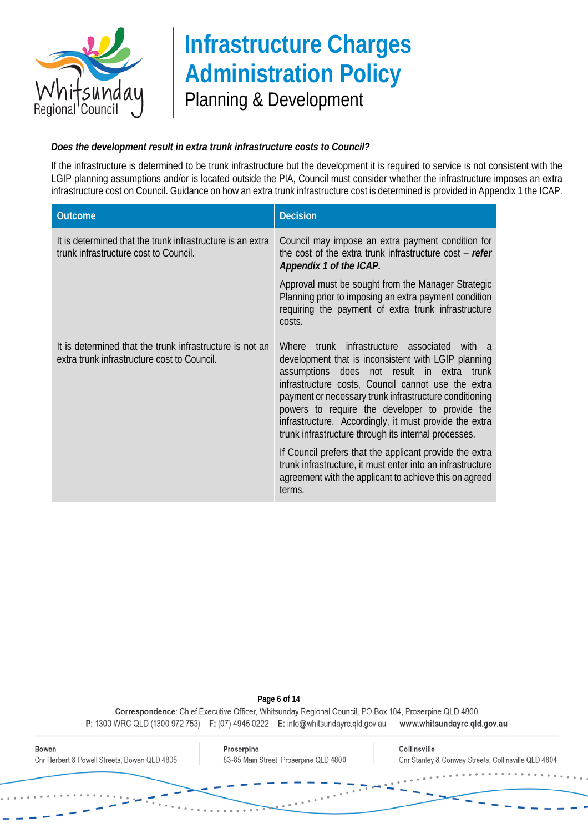

#### *Does the development result in extra trunk infrastructure costs to Council?*

If the infrastructure is determined to be trunk infrastructure but the development it is required to service is not consistent with the LGIP planning assumptions and/or is located outside the PIA, Council must consider whether the infrastructure imposes an extra infrastructure cost on Council. Guidance on how an extra trunk infrastructure cost is determined is provided in Appendix 1 the ICAP.

| <b>Outcome</b>                                                                                          | <b>Decision</b>                                                                                                                                                                                                                                                                                                                                                                                                                                |
|---------------------------------------------------------------------------------------------------------|------------------------------------------------------------------------------------------------------------------------------------------------------------------------------------------------------------------------------------------------------------------------------------------------------------------------------------------------------------------------------------------------------------------------------------------------|
| It is determined that the trunk infrastructure is an extra<br>trunk infrastructure cost to Council.     | Council may impose an extra payment condition for<br>the cost of the extra trunk infrastructure cost – refer<br>Appendix 1 of the ICAP.                                                                                                                                                                                                                                                                                                        |
|                                                                                                         | Approval must be sought from the Manager Strategic<br>Planning prior to imposing an extra payment condition<br>requiring the payment of extra trunk infrastructure<br>costs.                                                                                                                                                                                                                                                                   |
| It is determined that the trunk infrastructure is not an<br>extra trunk infrastructure cost to Council. | trunk infrastructure associated<br>Where<br>with a<br>development that is inconsistent with LGIP planning<br>assumptions does not result in extra<br>trunk<br>infrastructure costs, Council cannot use the extra<br>payment or necessary trunk infrastructure conditioning<br>powers to require the developer to provide the<br>infrastructure. Accordingly, it must provide the extra<br>trunk infrastructure through its internal processes. |
|                                                                                                         | If Council prefers that the applicant provide the extra<br>trunk infrastructure, it must enter into an infrastructure<br>agreement with the applicant to achieve this on agreed<br>terms.                                                                                                                                                                                                                                                      |

**Page 6 of 14** Correspondence: Chief Executive Officer, Whitsunday Regional Council, PO Box 104, Proserpine QLD 4800 P: 1300 WRC QLD (1300 972 753) F: (07) 4945 0222 E: info@whitsundayrc.qld.gov.au www.whitsundayrc.qld.gov.au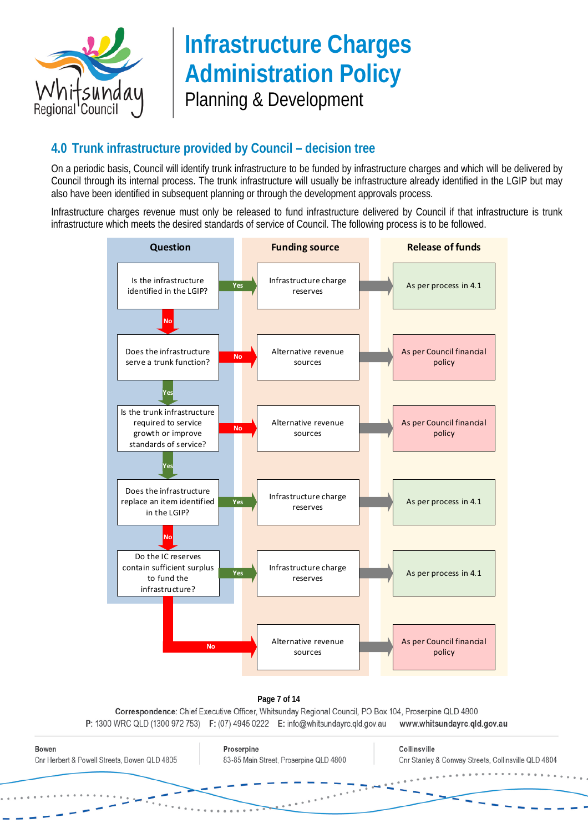

### <span id="page-6-0"></span>**4.0 Trunk infrastructure provided by Council – decision tree**

On a periodic basis, Council will identify trunk infrastructure to be funded by infrastructure charges and which will be delivered by Council through its internal process. The trunk infrastructure will usually be infrastructure already identified in the LGIP but may also have been identified in subsequent planning or through the development approvals process.

Infrastructure charges revenue must only be released to fund infrastructure delivered by Council if that infrastructure is trunk infrastructure which meets the desired standards of service of Council. The following process is to be followed.



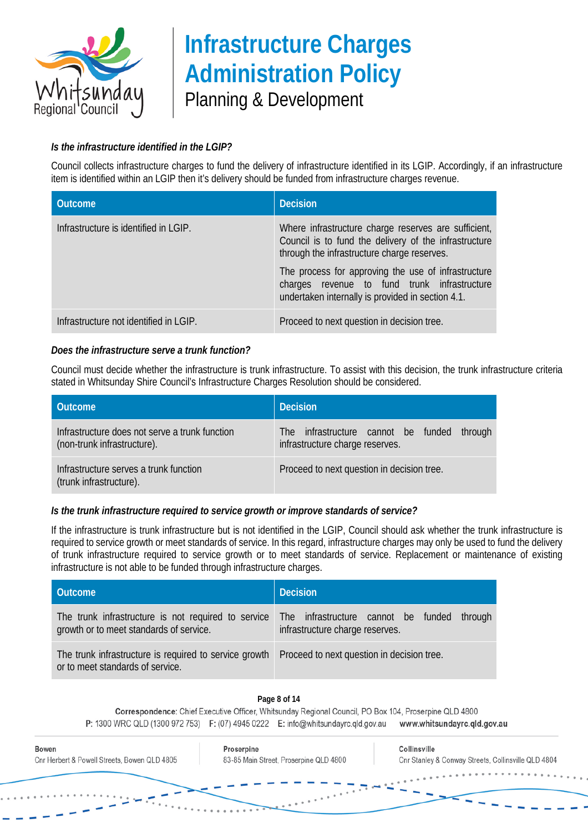

### *Is the infrastructure identified in the LGIP?*

Council collects infrastructure charges to fund the delivery of infrastructure identified in its LGIP. Accordingly, if an infrastructure item is identified within an LGIP then it's delivery should be funded from infrastructure charges revenue.

| <b>Outcome</b>                         | <b>Decision</b>                                                                                                                                              |
|----------------------------------------|--------------------------------------------------------------------------------------------------------------------------------------------------------------|
| Infrastructure is identified in LGIP.  | Where infrastructure charge reserves are sufficient,<br>Council is to fund the delivery of the infrastructure<br>through the infrastructure charge reserves. |
|                                        | The process for approving the use of infrastructure<br>charges revenue to fund trunk infrastructure<br>undertaken internally is provided in section 4.1.     |
| Infrastructure not identified in LGIP. | Proceed to next question in decision tree.                                                                                                                   |

#### *Does the infrastructure serve a trunk function?*

Council must decide whether the infrastructure is trunk infrastructure. To assist with this decision, the trunk infrastructure criteria stated in Whitsunday Shire Council's Infrastructure Charges Resolution should be considered.

| <b>Outcome</b>                                                                | <b>Decision</b>                                                                       |
|-------------------------------------------------------------------------------|---------------------------------------------------------------------------------------|
| Infrastructure does not serve a trunk function<br>(non-trunk infrastructure). | infrastructure cannot be funded<br>through<br>The:<br>infrastructure charge reserves. |
| Infrastructure serves a trunk function<br>(trunk infrastructure).             | Proceed to next question in decision tree.                                            |

### *Is the trunk infrastructure required to service growth or improve standards of service?*

If the infrastructure is trunk infrastructure but is not identified in the LGIP, Council should ask whether the trunk infrastructure is required to service growth or meet standards of service. In this regard, infrastructure charges may only be used to fund the delivery of trunk infrastructure required to service growth or to meet standards of service. Replacement or maintenance of existing infrastructure is not able to be funded through infrastructure charges.

| Outcome                                                                                        | <b>Decision</b>                                                                   |  |
|------------------------------------------------------------------------------------------------|-----------------------------------------------------------------------------------|--|
| The trunk infrastructure is not required to service<br>growth or to meet standards of service. | The infrastructure cannot be funded<br>through<br>infrastructure charge reserves. |  |
| The trunk infrastructure is required to service growth<br>or to meet standards of service.     | Proceed to next question in decision tree.                                        |  |

#### **Page 8 of 14**

Correspondence: Chief Executive Officer, Whitsunday Regional Council, PO Box 104, Proserpine QLD 4800 P: 1300 WRC QLD (1300 972 753) F: (07) 4945 0222 E: info@whitsundayrc.qld.gov.au www.whitsundayrc.qld.gov.au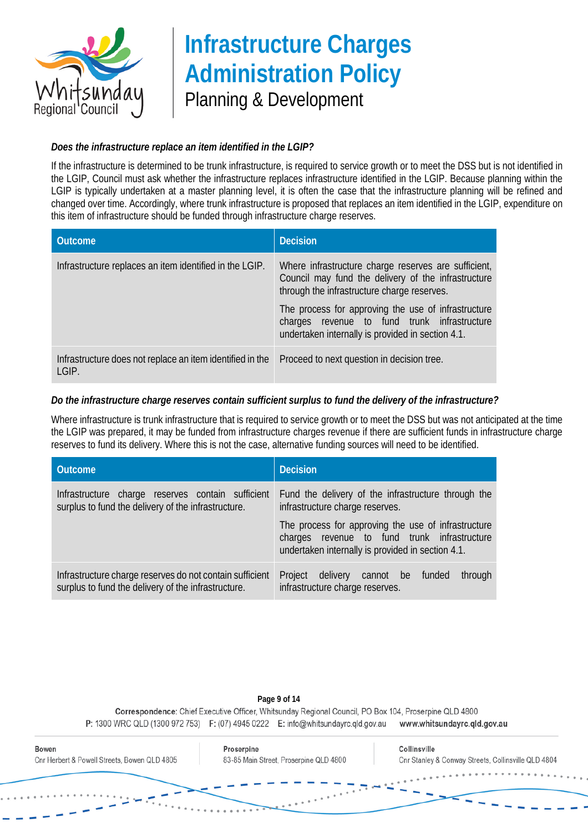

### *Does the infrastructure replace an item identified in the LGIP?*

If the infrastructure is determined to be trunk infrastructure, is required to service growth or to meet the DSS but is not identified in the LGIP, Council must ask whether the infrastructure replaces infrastructure identified in the LGIP. Because planning within the LGIP is typically undertaken at a master planning level, it is often the case that the infrastructure planning will be refined and changed over time. Accordingly, where trunk infrastructure is proposed that replaces an item identified in the LGIP, expenditure on this item of infrastructure should be funded through infrastructure charge reserves.

| Outcome                                                            | <b>Decision</b>                                                                                                                                            |
|--------------------------------------------------------------------|------------------------------------------------------------------------------------------------------------------------------------------------------------|
| Infrastructure replaces an item identified in the LGIP.            | Where infrastructure charge reserves are sufficient,<br>Council may fund the delivery of the infrastructure<br>through the infrastructure charge reserves. |
|                                                                    | The process for approving the use of infrastructure<br>charges revenue to fund trunk infrastructure<br>undertaken internally is provided in section 4.1.   |
| Infrastructure does not replace an item identified in the<br>LGIP. | Proceed to next question in decision tree.                                                                                                                 |

### *Do the infrastructure charge reserves contain sufficient surplus to fund the delivery of the infrastructure?*

Where infrastructure is trunk infrastructure that is required to service growth or to meet the DSS but was not anticipated at the time the LGIP was prepared, it may be funded from infrastructure charges revenue if there are sufficient funds in infrastructure charge reserves to fund its delivery. Where this is not the case, alternative funding sources will need to be identified.

| Outcome                                                                                                         | <b>Decision</b>                                                                                                                                          |  |
|-----------------------------------------------------------------------------------------------------------------|----------------------------------------------------------------------------------------------------------------------------------------------------------|--|
| Infrastructure charge reserves contain sufficient<br>surplus to fund the delivery of the infrastructure.        | Fund the delivery of the infrastructure through the<br>infrastructure charge reserves.                                                                   |  |
|                                                                                                                 | The process for approving the use of infrastructure<br>charges revenue to fund trunk infrastructure<br>undertaken internally is provided in section 4.1. |  |
| Infrastructure charge reserves do not contain sufficient<br>surplus to fund the delivery of the infrastructure. | Project<br>delivery<br>through<br>cannot be<br>funded<br>infrastructure charge reserves.                                                                 |  |

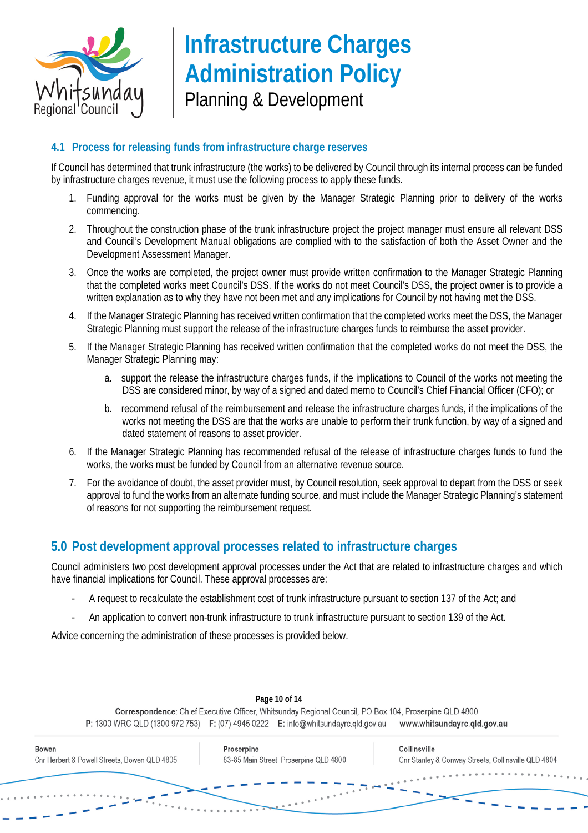

### **4.1 Process for releasing funds from infrastructure charge reserves**

If Council has determined that trunk infrastructure (the works) to be delivered by Council through its internal process can be funded by infrastructure charges revenue, it must use the following process to apply these funds.

- 1. Funding approval for the works must be given by the Manager Strategic Planning prior to delivery of the works commencing.
- 2. Throughout the construction phase of the trunk infrastructure project the project manager must ensure all relevant DSS and Council's Development Manual obligations are complied with to the satisfaction of both the Asset Owner and the Development Assessment Manager.
- 3. Once the works are completed, the project owner must provide written confirmation to the Manager Strategic Planning that the completed works meet Council's DSS. If the works do not meet Council's DSS, the project owner is to provide a written explanation as to why they have not been met and any implications for Council by not having met the DSS.
- 4. If the Manager Strategic Planning has received written confirmation that the completed works meet the DSS, the Manager Strategic Planning must support the release of the infrastructure charges funds to reimburse the asset provider.
- 5. If the Manager Strategic Planning has received written confirmation that the completed works do not meet the DSS, the Manager Strategic Planning may:
	- a. support the release the infrastructure charges funds, if the implications to Council of the works not meeting the DSS are considered minor, by way of a signed and dated memo to Council's Chief Financial Officer (CFO); or
	- b. recommend refusal of the reimbursement and release the infrastructure charges funds, if the implications of the works not meeting the DSS are that the works are unable to perform their trunk function, by way of a signed and dated statement of reasons to asset provider.
- 6. If the Manager Strategic Planning has recommended refusal of the release of infrastructure charges funds to fund the works, the works must be funded by Council from an alternative revenue source.
- 7. For the avoidance of doubt, the asset provider must, by Council resolution, seek approval to depart from the DSS or seek approval to fund the works from an alternate funding source, and must include the Manager Strategic Planning's statement of reasons for not supporting the reimbursement request.

### **5.0 Post development approval processes related to infrastructure charges**

Council administers two post development approval processes under the Act that are related to infrastructure charges and which have financial implications for Council. These approval processes are:

- A request to recalculate the establishment cost of trunk infrastructure pursuant to section 137 of the Act; and
- An application to convert non-trunk infrastructure to trunk infrastructure pursuant to section 139 of the Act.

Advice concerning the administration of these processes is provided below.

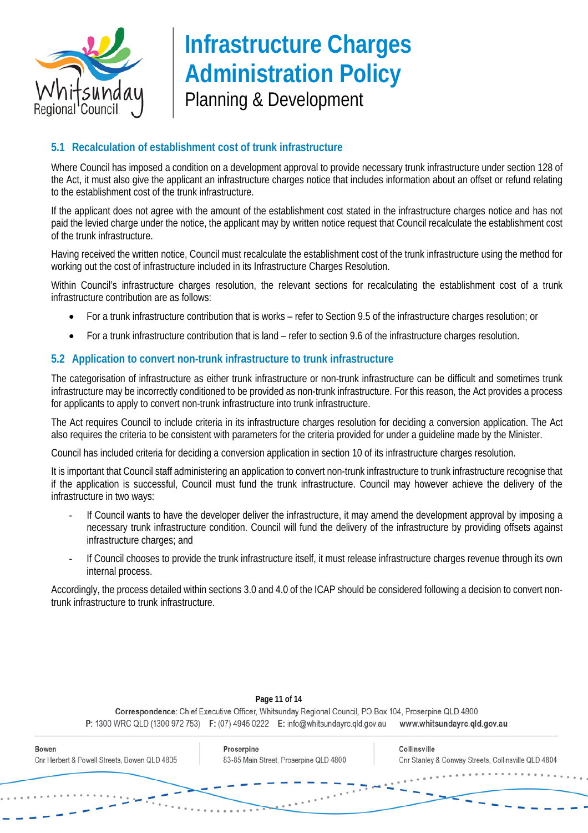

### **5.1 Recalculation of establishment cost of trunk infrastructure**

Where Council has imposed a condition on a development approval to provide necessary trunk infrastructure under section 128 of the Act, it must also give the applicant an infrastructure charges notice that includes information about an offset or refund relating to the establishment cost of the trunk infrastructure.

If the applicant does not agree with the amount of the establishment cost stated in the infrastructure charges notice and has not paid the levied charge under the notice, the applicant may by written notice request that Council recalculate the establishment cost of the trunk infrastructure.

Having received the written notice, Council must recalculate the establishment cost of the trunk infrastructure using the method for working out the cost of infrastructure included in its Infrastructure Charges Resolution.

Within Council's infrastructure charges resolution, the relevant sections for recalculating the establishment cost of a trunk infrastructure contribution are as follows:

- For a trunk infrastructure contribution that is works refer to Section 9.5 of the infrastructure charges resolution; or
- For a trunk infrastructure contribution that is land refer to section 9.6 of the infrastructure charges resolution.

### **5.2 Application to convert non-trunk infrastructure to trunk infrastructure**

The categorisation of infrastructure as either trunk infrastructure or non-trunk infrastructure can be difficult and sometimes trunk infrastructure may be incorrectly conditioned to be provided as non-trunk infrastructure. For this reason, the Act provides a process for applicants to apply to convert non-trunk infrastructure into trunk infrastructure.

The Act requires Council to include criteria in its infrastructure charges resolution for deciding a conversion application. The Act also requires the criteria to be consistent with parameters for the criteria provided for under a guideline made by the Minister.

Council has included criteria for deciding a conversion application in section 10 of its infrastructure charges resolution.

It is important that Council staff administering an application to convert non-trunk infrastructure to trunk infrastructure recognise that if the application is successful, Council must fund the trunk infrastructure. Council may however achieve the delivery of the infrastructure in two ways:

- If Council wants to have the developer deliver the infrastructure, it may amend the development approval by imposing a necessary trunk infrastructure condition. Council will fund the delivery of the infrastructure by providing offsets against infrastructure charges; and
- If Council chooses to provide the trunk infrastructure itself, it must release infrastructure charges revenue through its own internal process.

Accordingly, the process detailed within section[s 3.0](#page-2-0) and [4.0](#page-6-0) of the ICAP should be considered following a decision to convert nontrunk infrastructure to trunk infrastructure.



#### **Page 11 of 14**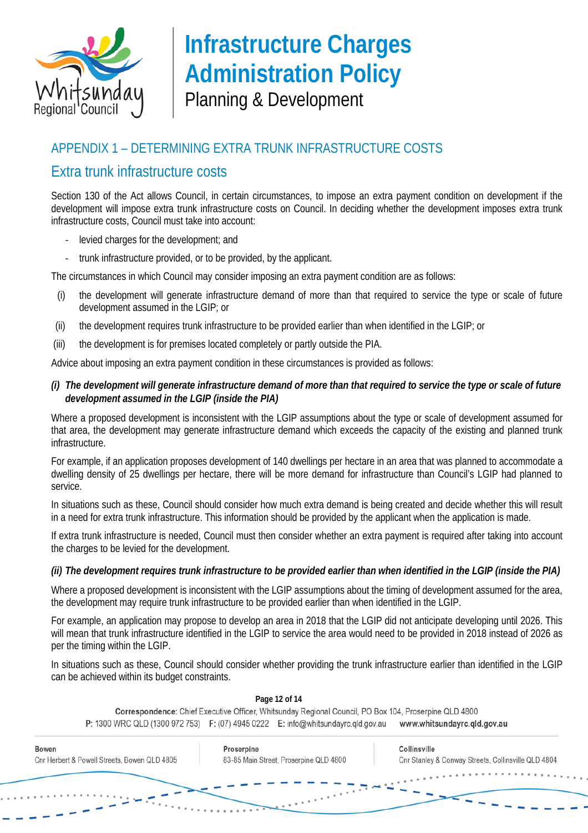

### APPENDIX 1 – DETERMINING EXTRA TRUNK INFRASTRUCTURE COSTS

### Extra trunk infrastructure costs

Section 130 of the Act allows Council, in certain circumstances, to impose an extra payment condition on development if the development will impose extra trunk infrastructure costs on Council. In deciding whether the development imposes extra trunk infrastructure costs, Council must take into account:

- levied charges for the development; and
- trunk infrastructure provided, or to be provided, by the applicant.

The circumstances in which Council may consider imposing an extra payment condition are as follows:

- (i) the development will generate infrastructure demand of more than that required to service the type or scale of future development assumed in the LGIP; or
- (ii) the development requires trunk infrastructure to be provided earlier than when identified in the LGIP; or
- (iii) the development is for premises located completely or partly outside the PIA.

Advice about imposing an extra payment condition in these circumstances is provided as follows:

#### *(i) The development will generate infrastructure demand of more than that required to service the type or scale of future development assumed in the LGIP (inside the PIA)*

Where a proposed development is inconsistent with the LGIP assumptions about the type or scale of development assumed for that area, the development may generate infrastructure demand which exceeds the capacity of the existing and planned trunk infrastructure.

For example, if an application proposes development of 140 dwellings per hectare in an area that was planned to accommodate a dwelling density of 25 dwellings per hectare, there will be more demand for infrastructure than Council's LGIP had planned to service.

In situations such as these, Council should consider how much extra demand is being created and decide whether this will result in a need for extra trunk infrastructure. This information should be provided by the applicant when the application is made.

If extra trunk infrastructure is needed, Council must then consider whether an extra payment is required after taking into account the charges to be levied for the development.

#### *(ii) The development requires trunk infrastructure to be provided earlier than when identified in the LGIP (inside the PIA)*

Where a proposed development is inconsistent with the LGIP assumptions about the timing of development assumed for the area, the development may require trunk infrastructure to be provided earlier than when identified in the LGIP.

For example, an application may propose to develop an area in 2018 that the LGIP did not anticipate developing until 2026. This will mean that trunk infrastructure identified in the LGIP to service the area would need to be provided in 2018 instead of 2026 as per the timing within the LGIP.

In situations such as these, Council should consider whether providing the trunk infrastructure earlier than identified in the LGIP can be achieved within its budget constraints.

| Bowen<br>Cnr Herbert & Powell Streets, Bowen QLD 4805 | Proserpine<br>83-85 Main Street, Proserpine QLD 4800 | Collinsville<br>Cnr Stanley & Conway Streets, Collinsville QLD 4804 |
|-------------------------------------------------------|------------------------------------------------------|---------------------------------------------------------------------|
|                                                       |                                                      |                                                                     |

#### **Page 12 of 14**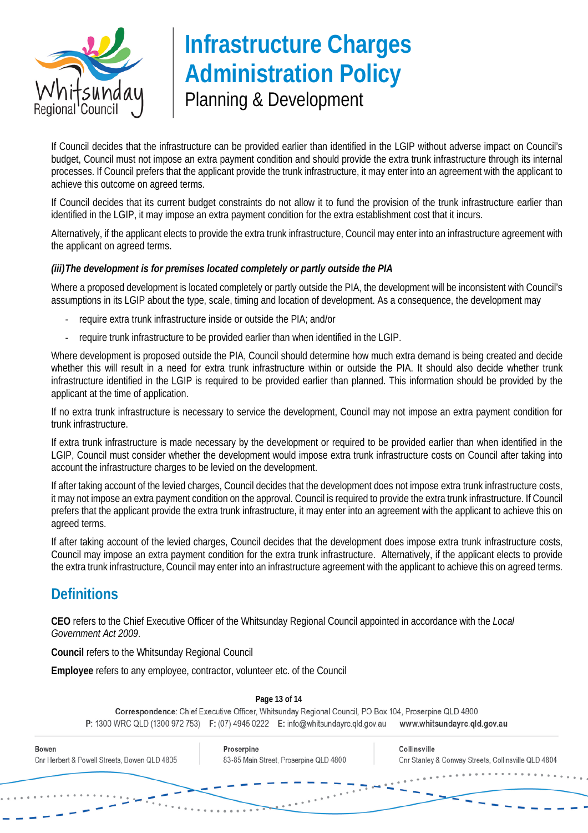

If Council decides that the infrastructure can be provided earlier than identified in the LGIP without adverse impact on Council's budget, Council must not impose an extra payment condition and should provide the extra trunk infrastructure through its internal processes. If Council prefers that the applicant provide the trunk infrastructure, it may enter into an agreement with the applicant to achieve this outcome on agreed terms.

If Council decides that its current budget constraints do not allow it to fund the provision of the trunk infrastructure earlier than identified in the LGIP, it may impose an extra payment condition for the extra establishment cost that it incurs.

Alternatively, if the applicant elects to provide the extra trunk infrastructure, Council may enter into an infrastructure agreement with the applicant on agreed terms.

#### *(iii)The development is for premises located completely or partly outside the PIA*

Where a proposed development is located completely or partly outside the PIA, the development will be inconsistent with Council's assumptions in its LGIP about the type, scale, timing and location of development. As a consequence, the development may

- require extra trunk infrastructure inside or outside the PIA; and/or
- require trunk infrastructure to be provided earlier than when identified in the LGIP.

Where development is proposed outside the PIA, Council should determine how much extra demand is being created and decide whether this will result in a need for extra trunk infrastructure within or outside the PIA. It should also decide whether trunk infrastructure identified in the LGIP is required to be provided earlier than planned. This information should be provided by the applicant at the time of application.

If no extra trunk infrastructure is necessary to service the development, Council may not impose an extra payment condition for trunk infrastructure.

If extra trunk infrastructure is made necessary by the development or required to be provided earlier than when identified in the LGIP, Council must consider whether the development would impose extra trunk infrastructure costs on Council after taking into account the infrastructure charges to be levied on the development.

If after taking account of the levied charges, Council decides that the development does not impose extra trunk infrastructure costs, it may not impose an extra payment condition on the approval. Council is required to provide the extra trunk infrastructure. If Council prefers that the applicant provide the extra trunk infrastructure, it may enter into an agreement with the applicant to achieve this on agreed terms.

If after taking account of the levied charges, Council decides that the development does impose extra trunk infrastructure costs, Council may impose an extra payment condition for the extra trunk infrastructure. Alternatively, if the applicant elects to provide the extra trunk infrastructure, Council may enter into an infrastructure agreement with the applicant to achieve this on agreed terms.

### **Definitions**

**CEO** refers to the Chief Executive Officer of the Whitsunday Regional Council appointed in accordance with the *Local Government Act 2009*.

**Council** refers to the Whitsunday Regional Council

**Employee** refers to any employee, contractor, volunteer etc. of the Council

### **Page 13 of 14** Correspondence: Chief Executive Officer, Whitsunday Regional Council, PO Box 104, Proserpine QLD 4800 P: 1300 WRC QLD (1300 972 753) F: (07) 4945 0222 E: info@whitsundayrc.gld.gov.au www.whitsundayrc.qld.gov.au **Bowen** Proserpine Collinsville Cnr Herbert & Powell Streets, Bowen QLD 4805 83-85 Main Street, Proserpine QLD 4800 Cnr Stanley & Conway Streets, Collinsville QLD 4804